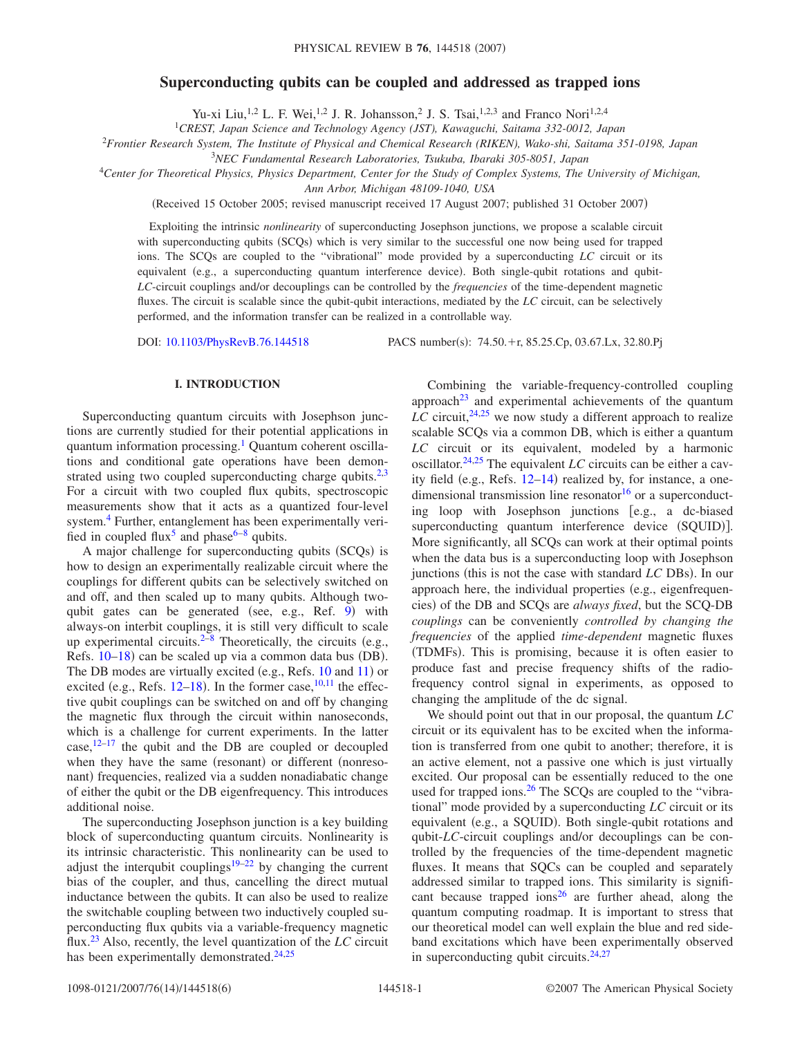# **Superconducting qubits can be coupled and addressed as trapped ions**

Yu-xi Liu,<sup>1,2</sup> L. F. Wei,<sup>1,2</sup> J. R. Johansson,<sup>2</sup> J. S. Tsai,<sup>1,2,3</sup> and Franco Nori<sup>1,2,4</sup>

1 *CREST, Japan Science and Technology Agency (JST), Kawaguchi, Saitama 332-0012, Japan*

<sup>2</sup>*Frontier Research System, The Institute of Physical and Chemical Research (RIKEN), Wako-shi, Saitama 351-0198, Japan*

3 *NEC Fundamental Research Laboratories, Tsukuba, Ibaraki 305-8051, Japan*

<sup>4</sup>*Center for Theoretical Physics, Physics Department, Center for the Study of Complex Systems, The University of Michigan,*

*Ann Arbor, Michigan 48109-1040, USA*

(Received 15 October 2005; revised manuscript received 17 August 2007; published 31 October 2007)

Exploiting the intrinsic *nonlinearity* of superconducting Josephson junctions, we propose a scalable circuit with superconducting qubits (SCQs) which is very similar to the successful one now being used for trapped ions. The SCQs are coupled to the "vibrational" mode provided by a superconducting *LC* circuit or its equivalent (e.g., a superconducting quantum interference device). Both single-qubit rotations and qubit-*LC*-circuit couplings and/or decouplings can be controlled by the *frequencies* of the time-dependent magnetic fluxes. The circuit is scalable since the qubit-qubit interactions, mediated by the *LC* circuit, can be selectively performed, and the information transfer can be realized in a controllable way.

DOI: [10.1103/PhysRevB.76.144518](http://dx.doi.org/10.1103/PhysRevB.76.144518)

PACS number(s):  $74.50.+r$ ,  $85.25.Cp$ ,  $03.67.Lx$ ,  $32.80.Pj$ 

## **I. INTRODUCTION**

Superconducting quantum circuits with Josephson junctions are currently studied for their potential applications in quantum information processing.<sup>1</sup> Quantum coherent oscillations and conditional gate operations have been demon-strated using two coupled superconducting charge qubits.<sup>2[,3](#page-5-2)</sup> For a circuit with two coupled flux qubits, spectroscopic measurements show that it acts as a quantized four-level system.<sup>4</sup> Further, entanglement has been experimentally veri-fied in coupled flux<sup>5</sup> and phase<sup>6–[8](#page-5-6)</sup> qubits.

A major challenge for superconducting qubits (SCQs) is how to design an experimentally realizable circuit where the couplings for different qubits can be selectively switched on and off, and then scaled up to many qubits. Although two-qubit gates can be generated (see, e.g., Ref. [9](#page-5-7)) with always-on interbit couplings, it is still very difficult to scale up experimental circuits.<sup>2–[8](#page-5-6)</sup> Theoretically, the circuits (e.g., Refs. 10-[18](#page-5-9)) can be scaled up via a common data bus (DB). The DB modes are virtually excited (e.g., Refs. [10](#page-5-8) and [11](#page-5-10)) or excited (e.g., Refs.  $12-18$  $12-18$ ). In the former case,  $^{10,11}$  $^{10,11}$  $^{10,11}$  the effective qubit couplings can be switched on and off by changing the magnetic flux through the circuit within nanoseconds, which is a challenge for current experiments. In the latter case, $12-17$  $12-17$  the qubit and the DB are coupled or decoupled when they have the same (resonant) or different (nonresonant) frequencies, realized via a sudden nonadiabatic change of either the qubit or the DB eigenfrequency. This introduces additional noise.

The superconducting Josephson junction is a key building block of superconducting quantum circuits. Nonlinearity is its intrinsic characteristic. This nonlinearity can be used to adjust the interqubit couplings<sup>19[–22](#page-5-14)</sup> by changing the current bias of the coupler, and thus, cancelling the direct mutual inductance between the qubits. It can also be used to realize the switchable coupling between two inductively coupled superconducting flux qubits via a variable-frequency magnetic flux.[23](#page-5-15) Also, recently, the level quantization of the *LC* circuit has been experimentally demonstrated. $24,25$  $24,25$ 

Combining the variable-frequency-controlled coupling approach $^{23}$  and experimental achievements of the quantum *LC* circuit,  $24.25$  we now study a different approach to realize scalable SCQs via a common DB, which is either a quantum *LC* circuit or its equivalent, modeled by a harmonic oscillator.<sup>24,[25](#page-5-17)</sup> The equivalent *LC* circuits can be either a cavity field (e.g., Refs.  $12-14$  $12-14$ ) realized by, for instance, a onedimensional transmission line resonator<sup>16</sup> or a superconducting loop with Josephson junctions [e.g., a dc-biased superconducting quantum interference device (SQUID)]. More significantly, all SCQs can work at their optimal points when the data bus is a superconducting loop with Josephson junctions (this is not the case with standard *LC* DBs). In our approach here, the individual properties (e.g., eigenfrequencies) of the DB and SCQs are *always fixed*, but the SCQ-DB *couplings* can be conveniently *controlled by changing the frequencies* of the applied *time-dependent* magnetic fluxes (TDMFs). This is promising, because it is often easier to produce fast and precise frequency shifts of the radiofrequency control signal in experiments, as opposed to changing the amplitude of the dc signal.

We should point out that in our proposal, the quantum *LC* circuit or its equivalent has to be excited when the information is transferred from one qubit to another; therefore, it is an active element, not a passive one which is just virtually excited. Our proposal can be essentially reduced to the one used for trapped ions. $26$  The SCQs are coupled to the "vibrational" mode provided by a superconducting *LC* circuit or its equivalent (e.g., a SQUID). Both single-qubit rotations and qubit-*LC*-circuit couplings and/or decouplings can be controlled by the frequencies of the time-dependent magnetic fluxes. It means that SQCs can be coupled and separately addressed similar to trapped ions. This similarity is significant because trapped ions<sup>26</sup> are further ahead, along the quantum computing roadmap. It is important to stress that our theoretical model can well explain the blue and red sideband excitations which have been experimentally observed in superconducting qubit circuits. $24,27$  $24,27$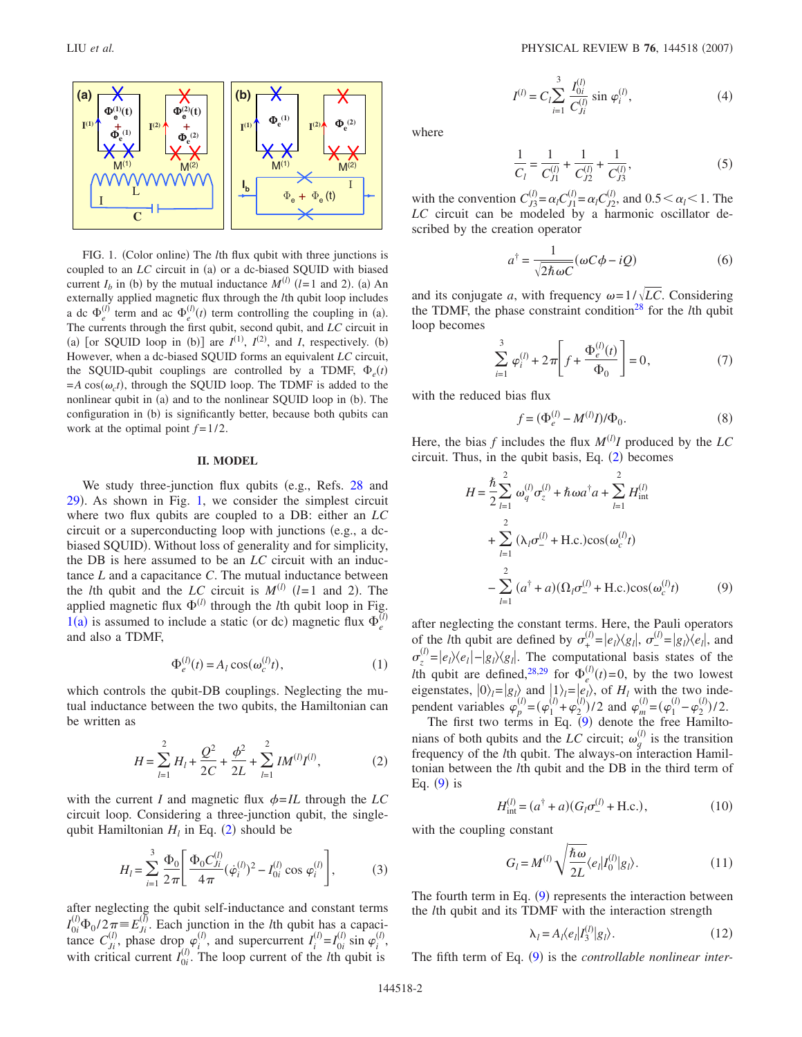<span id="page-1-0"></span>

FIG. 1. (Color online) The *l*th flux qubit with three junctions is coupled to an *LC* circuit in (a) or a dc-biased SQUID with biased current  $I_b$  in (b) by the mutual inductance  $M^{(l)}$  ( $l = 1$  and 2). (a) An externally applied magnetic flux through the *l*th qubit loop includes a dc  $\Phi_e^{(l)}$  term and ac  $\Phi_e^{(l)}(t)$  term controlling the coupling in (a). The currents through the first qubit, second qubit, and *LC* circuit in (a) [or SQUID loop in (b)] are  $I^{(1)}$ ,  $I^{(2)}$ , and *I*, respectively. (b) However, when a dc-biased SQUID forms an equivalent *LC* circuit, the SQUID-qubit couplings are controlled by a TDMF,  $\Phi_e(t)$  $=A\cos(\omega_c t)$ , through the SQUID loop. The TDMF is added to the nonlinear qubit in (a) and to the nonlinear SQUID loop in (b). The configuration in (b) is significantly better, because both qubits can work at the optimal point  $f = 1/2$ .

### **II. MODEL**

We study three-junction flux qubits (e.g., Refs.  $28$  and [29](#page-5-23)). As shown in Fig. [1,](#page-1-0) we consider the simplest circuit where two flux qubits are coupled to a DB: either an *LC* circuit or a superconducting loop with junctions (e.g., a dcbiased SQUID). Without loss of generality and for simplicity, the DB is here assumed to be an *LC* circuit with an inductance *L* and a capacitance *C*. The mutual inductance between the *l*th qubit and the *LC* circuit is  $M^{(l)}$  (*l*=1 and 2). The applied magnetic flux  $\Phi^{(l)}$  through the *l*th qubit loop in Fig.  $1(a)$  $1(a)$  is assumed to include a static (or dc) magnetic flux  $\Phi_e^0$ *l* and also a TDMF,

$$
\Phi_e^{(l)}(t) = A_l \cos(\omega_c^{(l)} t),\tag{1}
$$

<span id="page-1-1"></span>which controls the qubit-DB couplings. Neglecting the mutual inductance between the two qubits, the Hamiltonian can be written as

$$
H = \sum_{l=1}^{2} H_{l} + \frac{Q^{2}}{2C} + \frac{\phi^{2}}{2L} + \sum_{l=1}^{2} I M^{(l)} I^{(l)},
$$
 (2)

with the current *I* and magnetic flux  $\phi = IL$  through the *LC* circuit loop. Considering a three-junction qubit, the singlequbit Hamiltonian  $H_l$  in Eq. ([2](#page-1-1)) should be

$$
H_{l} = \sum_{i=1}^{3} \frac{\Phi_{0}}{2\pi} \left[ \frac{\Phi_{0} C_{ji}^{(l)}}{4\pi} (\dot{\varphi}_{i}^{(l)})^{2} - I_{0i}^{(l)} \cos \varphi_{i}^{(l)} \right],
$$
 (3)

after neglecting the qubit self-inductance and constant terms  $I_{0i}^{(l)}\Phi_0/2\pi \equiv E_{Ji}^{(\bar{l})}$ . Each junction in the *l*th qubit has a capacitance  $C_{ji}^{(l)}$ , phase drop  $\varphi_i^{(l)}$ , and supercurrent  $I_i^{(l)} = I_{0i}^{(l)} \sin \varphi_i^{(l)}$ , with critical current  $I_{0i}^{(l)}$ . The loop current of the *l*th qubit is

$$
I^{(l)} = C_l \sum_{i=1}^{3} \frac{I_{0i}^{(l)}}{C_{Ji}^{(l)}} \sin \varphi_i^{(l)},
$$
\n(4)

<span id="page-1-3"></span>where

$$
\frac{1}{C_l} = \frac{1}{C_{J1}^{(l)}} + \frac{1}{C_{J2}^{(l)}} + \frac{1}{C_{J3}^{(l)}},\tag{5}
$$

with the convention  $C_{J3}^{(l)} = \alpha_l C_{J1}^{(l)} = \alpha_l C_{J2}^{(l)}$ , and  $0.5 < \alpha_l < 1$ . The *LC* circuit can be modeled by a harmonic oscillator described by the creation operator

$$
a^{\dagger} = \frac{1}{\sqrt{2\hbar\omega C}}(\omega C\phi - iQ)
$$
 (6)

<span id="page-1-4"></span>and its conjugate *a*, with frequency  $\omega = 1/\sqrt{LC}$ . Considering the TDMF, the phase constraint condition<sup>28</sup> for the *l*th qubit loop becomes

$$
\sum_{i=1}^{3} \varphi_i^{(l)} + 2\pi \left[ f + \frac{\Phi_e^{(l)}(t)}{\Phi_0} \right] = 0, \tag{7}
$$

with the reduced bias flux

$$
f = (\Phi_e^{(l)} - M^{(l)}I)/\Phi_0.
$$
 (8)

<span id="page-1-2"></span>Here, the bias  $f$  includes the flux  $M^{(l)}I$  produced by the  $LC$ circuit. Thus, in the qubit basis, Eq.  $(2)$  $(2)$  $(2)$  becomes

$$
H = \frac{\hbar}{2} \sum_{l=1}^{2} \omega_q^{(l)} \sigma_z^{(l)} + \hbar \omega a^{\dagger} a + \sum_{l=1}^{2} H_{int}^{(l)}
$$
  
+ 
$$
\sum_{l=1}^{2} (\lambda_l \sigma_-^{(l)} + \text{H.c.}) \cos(\omega_c^{(l)} t)
$$
  
- 
$$
\sum_{l=1}^{2} (a^{\dagger} + a) (\Omega_l \sigma_-^{(l)} + \text{H.c.}) \cos(\omega_c^{(l)} t)
$$
(9)

after neglecting the constant terms. Here, the Pauli operators of the *l*th qubit are defined by  $\sigma_{+}^{(i)}$  $\sigma_{+}^{(l)} = |e_l\rangle\langle g_l|, \sigma_{-}^{(l)}$  $\mathcal{L}^{(l)} = |g_l\rangle\langle e_l|$ , and  $\sigma_z^{(l)} = |e_l\rangle\langle e_l| - |g_l\rangle\langle g_l|$ . The computational basis states of the  $v_z = |e_l/\sqrt{e_l}|^{-|\mathcal{B}|/\sqrt{g_l}|}$ . The comparison  $\psi_e^{(l)}(t) = 0$ , by the two lowest eigenstates,  $|0\rangle_l = |g_l\rangle$  and  $|1\rangle_l = |e_l\rangle$ , of  $H_l$  with the two independent variables  $\varphi_p^{(l)} = (\varphi_1^{(l)} + \varphi_2^{(l)})/2$  and  $\varphi_m^{(l)} = (\varphi_1^{(l)} - \varphi_2^{(l)})/2$ .

The first two terms in Eq.  $(9)$  $(9)$  $(9)$  denote the free Hamiltonians of both qubits and the *LC* circuit;  $\omega_q^{(l)}$  is the transition frequency of the *l*th qubit. The always-on interaction Hamiltonian between the *l*th qubit and the DB in the third term of Eq.  $(9)$  $(9)$  $(9)$  is

$$
H_{\text{int}}^{(l)} = (a^{\dagger} + a)(G_l \sigma_-^{(l)} + \text{H.c.}),\tag{10}
$$

with the coupling constant

$$
G_l = M^{(l)} \sqrt{\frac{\hbar \omega}{2L}} \langle e_l | I_0^{(l)} | g_l \rangle.
$$
 (11)

The fourth term in Eq.  $(9)$  $(9)$  $(9)$  represents the interaction between the *l*th qubit and its TDMF with the interaction strength

$$
\lambda_l = A_l \langle e_l | I_3^{(l)} | g_l \rangle. \tag{12}
$$

The fifth term of Eq. ([9](#page-1-2)) is the *controllable nonlinear inter-*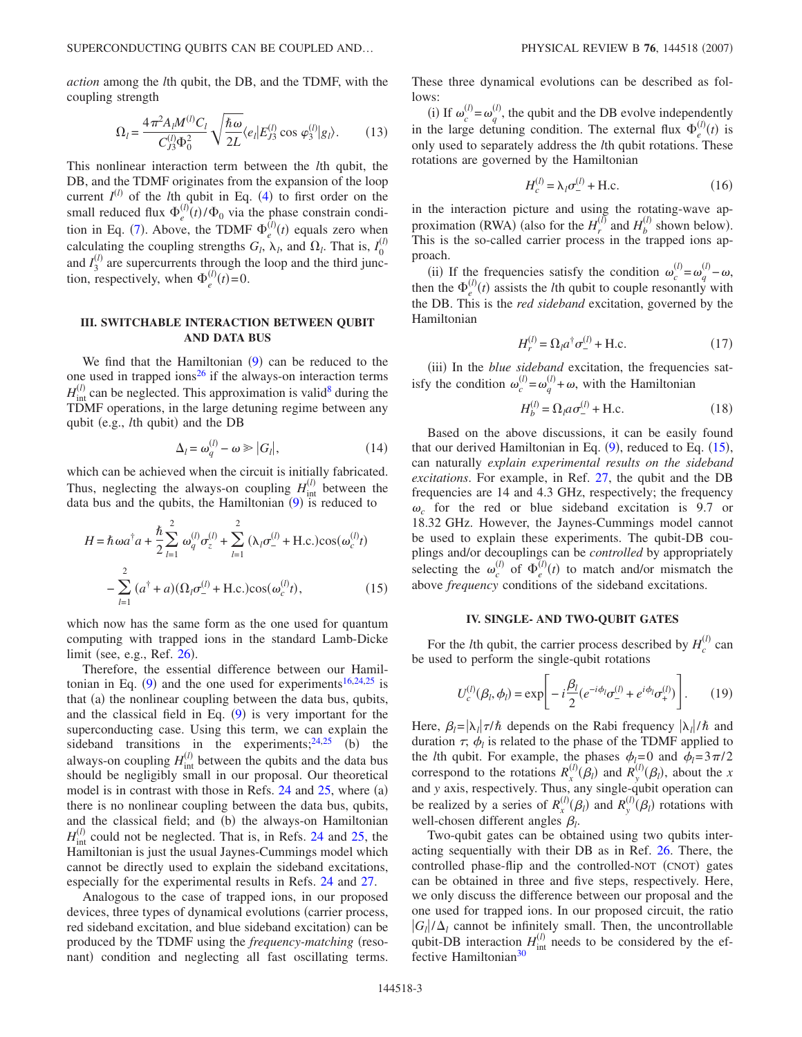*action* among the *l*th qubit, the DB, and the TDMF, with the coupling strength

$$
\Omega_l = \frac{4\pi^2 A_l M^{(l)} C_l}{C_{J3}^{(l)} \Phi_0^2} \sqrt{\frac{\hbar \omega}{2L}} \langle e_l | E_{J3}^{(l)} \cos \varphi_3^{(l)} | g_l \rangle. \tag{13}
$$

This nonlinear interaction term between the *l*th qubit, the DB, and the TDMF originates from the expansion of the loop current  $I^{(l)}$  of the *l*th qubit in Eq. ([4](#page-1-3)) to first order on the small reduced flux  $\Phi_e^0$  $\hat{f}_e^{(l)}(t)/\Phi_0$  via the phase constrain condi-tion in Eq. ([7](#page-1-4)). Above, the TDMF  $\Phi_e^{\langle}$  $\bar{u}^{(l)}(t)$  equals zero when calculating the coupling strengths  $G_l$ ,  $\lambda_l$ , and  $\Omega_l$ . That is,  $I_0^{(l)}$ and  $I_3^{(l)}$  are supercurrents through the loop and the third junction, respectively, when  $\Phi_e^{\phi}$  $\bar{u}^{(l)}(t) = 0.$ 

## **III. SWITCHABLE INTERACTION BETWEEN QUBIT AND DATA BUS**

We find that the Hamiltonian  $(9)$  $(9)$  $(9)$  can be reduced to the one used in trapped ions<sup>26</sup> if the always-on interaction terms  $H_{\text{int}}^{(l)}$  can be neglected. This approximation is valid<sup>8</sup> during the TDMF operations, in the large detuning regime between any qubit (e.g., *lth* qubit) and the DB

$$
\Delta_l = \omega_q^{(l)} - \omega \ge |G_l|,\tag{14}
$$

which can be achieved when the circuit is initially fabricated. Thus, neglecting the always-on coupling  $H_{int}^{(l)}$  between the data bus and the qubits, the Hamiltonian  $(9)$  $(9)$  $(9)$  is reduced to

<span id="page-2-0"></span>
$$
H = \hbar \omega a^{\dagger} a + \frac{\hbar}{2} \sum_{l=1}^{2} \omega_q^{(l)} \sigma_z^{(l)} + \sum_{l=1}^{2} (\lambda_l \sigma_-^{(l)} + \text{H.c.}) \cos(\omega_c^{(l)} t)
$$

$$
- \sum_{l=1}^{2} (a^{\dagger} + a) (\Omega_l \sigma_-^{(l)} + \text{H.c.}) \cos(\omega_c^{(l)} t), \qquad (15)
$$

which now has the same form as the one used for quantum computing with trapped ions in the standard Lamb-Dicke limit (see, e.g., Ref. [26](#page-5-20)).

Therefore, the essential difference between our Hamiltonian in Eq.  $(9)$  $(9)$  $(9)$  and the one used for experiments<sup>16[,24](#page-5-16)[,25](#page-5-17)</sup> is that (a) the nonlinear coupling between the data bus, qubits, and the classical field in Eq.  $(9)$  $(9)$  $(9)$  is very important for the superconducting case. Using this term, we can explain the sideband transitions in the experiments;  $24,25$  $24,25$  (b) the always-on coupling  $H_{int}^{(l)}$  between the qubits and the data bus should be negligibly small in our proposal. Our theoretical model is in contrast with those in Refs.  $24$  and  $25$ , where  $(a)$ there is no nonlinear coupling between the data bus, qubits, and the classical field; and (b) the always-on Hamiltonian  $H_{\text{int}}^{(l)}$  could not be neglected. That is, in Refs. [24](#page-5-16) and [25,](#page-5-17) the Hamiltonian is just the usual Jaynes-Cummings model which cannot be directly used to explain the sideband excitations, especially for the experimental results in Refs. [24](#page-5-16) and [27.](#page-5-21)

Analogous to the case of trapped ions, in our proposed devices, three types of dynamical evolutions (carrier process, red sideband excitation, and blue sideband excitation) can be produced by the TDMF using the *frequency-matching* (resonant) condition and neglecting all fast oscillating terms.

These three dynamical evolutions can be described as follows:

(i) If  $\omega_c^{(l)} = \omega_q^{(l)}$ , the qubit and the DB evolve independently in the large detuning condition. The external flux  $\Phi_e^{\phi}$  $\int_{e}^{(l)}(t)$  is only used to separately address the *l*th qubit rotations. These rotations are governed by the Hamiltonian

$$
H_c^{(l)} = \lambda_l \sigma_-^{(l)} + \text{H.c.}
$$
 (16)

in the interaction picture and using the rotating-wave approximation (RWA) (also for the  $H_r^{(l)}$  and  $H_b^{(l)}$  shown below). This is the so-called carrier process in the trapped ions approach.

(ii) If the frequencies satisfy the condition  $\omega_c^{(l)} = \omega_q^{(l)} - \omega$ , then the  $\Phi_e^0$  $\int_{e}^{(l)}(t)$  assists the *l*th qubit to couple resonantly with the DB. This is the *red sideband* excitation, governed by the Hamiltonian

$$
H_r^{(l)} = \Omega_l a^\dagger \sigma_-^{(l)} + \text{H.c.}
$$
 (17)

(iii) In the *blue sideband* excitation, the frequencies satisfy the condition  $\omega_c^{(l)} = \omega_q^{(l)} + \omega$ , with the Hamiltonian

$$
H_b^{(l)} = \Omega_l a \sigma_-^{(l)} + \text{H.c.}
$$
 (18)

Based on the above discussions, it can be easily found that our derived Hamiltonian in Eq.  $(9)$  $(9)$  $(9)$ , reduced to Eq.  $(15)$  $(15)$  $(15)$ , can naturally *explain experimental results on the sideband excitations*. For example, in Ref. [27,](#page-5-21) the qubit and the DB frequencies are 14 and 4.3 GHz, respectively; the frequency  $\omega_c$  for the red or blue sideband excitation is 9.7 or 18.32 GHz. However, the Jaynes-Cummings model cannot be used to explain these experiments. The qubit-DB couplings and/or decouplings can be *controlled* by appropriately selecting the  $\omega_c^{(l)}$  of  $\Phi_e^{\overline{l}_e}$  $\bar{l}_{e}^{(l)}(t)$  to match and/or mismatch the above *frequency* conditions of the sideband excitations.

#### **IV. SINGLE- AND TWO-QUBIT GATES**

For the *l*th qubit, the carrier process described by  $H_c^{(l)}$  can be used to perform the single-qubit rotations

$$
U_c^{(l)}(\beta_l, \phi_l) = \exp\bigg[-i\frac{\beta_l}{2}(e^{-i\phi_l}\sigma_-^{(l)} + e^{i\phi_l}\sigma_+^{(l)})\bigg].
$$
 (19)

Here,  $\beta_l = |\lambda_l| \tau / \hbar$  depends on the Rabi frequency  $|\lambda_l| / \hbar$  and duration  $\tau$ ,  $\phi_l$  is related to the phase of the TDMF applied to the *l*th qubit. For example, the phases  $\phi_l=0$  and  $\phi_l=3\pi/2$ correspond to the rotations  $R_x^{(l)}(\hat{\beta}_l)$  and  $R_y^{(l)}$  $\mathcal{L}_{\mathcal{V}}^{(l)}(\beta_l)$ , about the *x* and *y* axis, respectively. Thus, any single-qubit operation can be realized by a series of  $R_x^{(l)}(\beta_l)$  and  $R_y^{(l)}$  $\int_{v}^{(l)} (\beta_l)$  rotations with well-chosen different angles  $\beta_l$ .

Two-qubit gates can be obtained using two qubits interacting sequentially with their DB as in Ref. [26.](#page-5-20) There, the controlled phase-flip and the controlled-NOT (CNOT) gates can be obtained in three and five steps, respectively. Here, we only discuss the difference between our proposal and the one used for trapped ions. In our proposed circuit, the ratio  $|G_l|/\Delta_l$  cannot be infinitely small. Then, the uncontrollable qubit-DB interaction  $H_{int}^{(l)}$  needs to be considered by the effective Hamiltonian<sup>30</sup>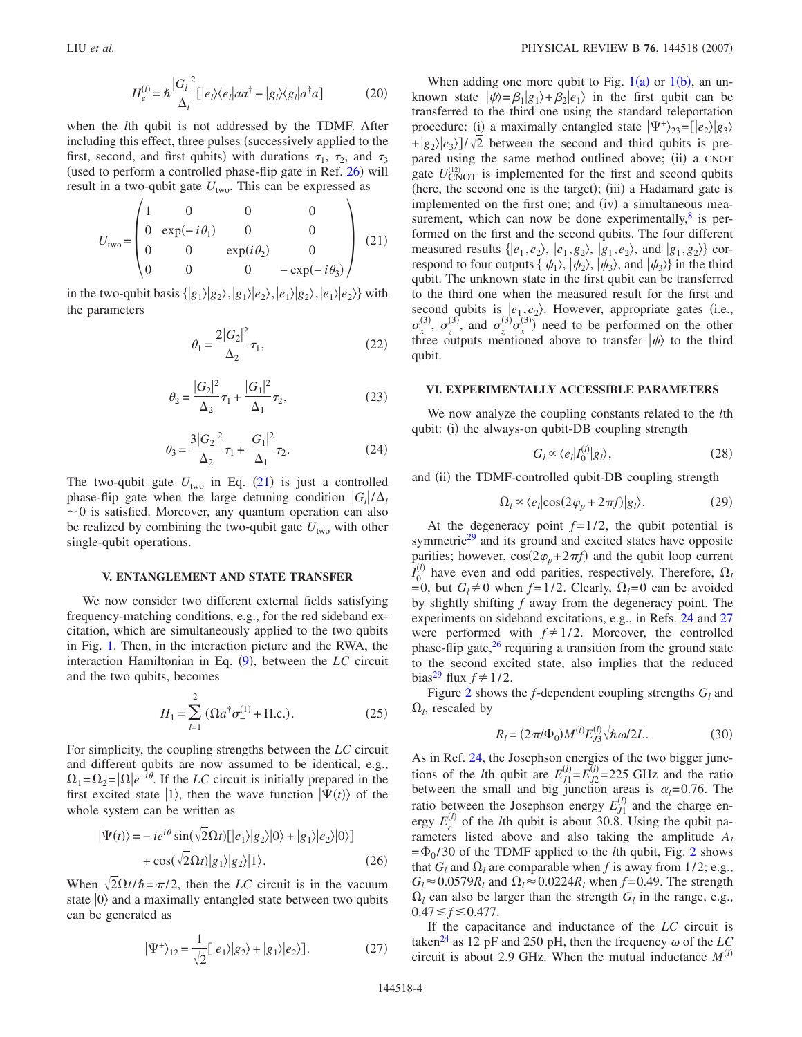$$
H_e^{(l)} = \hbar \frac{|G_l|^2}{\Delta_l} [ |e_l\rangle\langle e_l| a a^\dagger - |g_l\rangle\langle g_l| a^\dagger a ] \tag{20}
$$

when the *l*th qubit is not addressed by the TDMF. After including this effect, three pulses (successively applied to the first, second, and first qubits) with durations  $\tau_1$ ,  $\tau_2$ , and  $\tau_3$ (used to perform a controlled phase-flip gate in Ref. [26](#page-5-20)) will result in a two-qubit gate  $U_{\text{two}}$ . This can be expressed as

<span id="page-3-0"></span>
$$
U_{\text{two}} = \begin{pmatrix} 1 & 0 & 0 & 0 \\ 0 & \exp(-i\theta_1) & 0 & 0 \\ 0 & 0 & \exp(i\theta_2) & 0 \\ 0 & 0 & 0 & -\exp(-i\theta_3) \end{pmatrix}
$$
 (21)

in the two-qubit basis  $\{|g_1\rangle|g_2\rangle, |g_1\rangle|e_2\rangle, |e_1\rangle|g_2\rangle, |e_1\rangle|e_2\rangle\}$  with the parameters

$$
\theta_1 = \frac{2|G_2|^2}{\Delta_2} \tau_1,\tag{22}
$$

$$
\theta_2 = \frac{|G_2|^2}{\Delta_2} \tau_1 + \frac{|G_1|^2}{\Delta_1} \tau_2,\tag{23}
$$

$$
\theta_3 = \frac{3|G_2|^2}{\Delta_2} \tau_1 + \frac{|G_1|^2}{\Delta_1} \tau_2.
$$
 (24)

The two-qubit gate  $U_{\text{two}}$  in Eq. ([21](#page-3-0)) is just a controlled phase-flip gate when the large detuning condition  $|G_l|/\Delta_l$  $\sim$ 0 is satisfied. Moreover, any quantum operation can also be realized by combining the two-qubit gate  $U_{\text{two}}$  with other single-qubit operations.

### **V. ENTANGLEMENT AND STATE TRANSFER**

We now consider two different external fields satisfying frequency-matching conditions, e.g., for the red sideband excitation, which are simultaneously applied to the two qubits in Fig. [1.](#page-1-0) Then, in the interaction picture and the RWA, the interaction Hamiltonian in Eq. ([9](#page-1-2)), between the *LC* circuit and the two qubits, becomes

$$
H_1 = \sum_{l=1}^{2} (\Omega a^{\dagger} \sigma_{-}^{(1)} + \text{H.c.}).
$$
 (25)

For simplicity, the coupling strengths between the *LC* circuit and different qubits are now assumed to be identical, e.g.,  $\Omega_1 = \Omega_2 = |\Omega|e^{-i\theta}$ . If the *LC* circuit is initially prepared in the first excited state  $|1\rangle$ , then the wave function  $|\Psi(t)\rangle$  of the whole system can be written as

$$
|\Psi(t)\rangle = -ie^{i\theta}\sin(\sqrt{2}\Omega t)[|e_1\rangle|g_2\rangle|0\rangle + |g_1\rangle|e_2\rangle|0\rangle] + \cos(\sqrt{2}\Omega t)|g_1\rangle|g_2\rangle|1\rangle.
$$
 (26)

When  $\sqrt{2\Omega t/\hbar} = \pi/2$ , then the *LC* circuit is in the vacuum state  $|0\rangle$  and a maximally entangled state between two qubits can be generated as

$$
|\Psi^+\rangle_{12} = \frac{1}{\sqrt{2}} [ |e_1\rangle |g_2\rangle + |g_1\rangle |e_2\rangle].
$$
 (27)

When adding one more qubit to Fig.  $1(a)$  $1(a)$  or  $1(b)$ , an unknown state  $|\psi\rangle = \beta_1|g_1\rangle + \beta_2|e_1\rangle$  in the first qubit can be transferred to the third one using the standard teleportation procedure: (i) a maximally entangled state  $|\Psi^+\rangle_{23} = [e_2 \rangle |g_3\rangle$  $+\frac{1}{2}g_2$ / $e_3$ )/ $\sqrt{2}$  between the second and third qubits is prepared using the same method outlined above; (ii) a CNOT gate  $U_{\text{CNOT}}^{(12)}$  is implemented for the first and second qubits (here, the second one is the target); (iii) a Hadamard gate is implemented on the first one; and (iv) a simultaneous measurement, which can now be done experimentally, $\delta$  is performed on the first and the second qubits. The four different measured results  $\{|e_1, e_2\rangle, |e_1, g_2\rangle, |g_1, e_2\rangle, \text{ and } |g_1, g_2\rangle\}$  correspond to four outputs  $\{|\psi_1\rangle, |\psi_2\rangle, |\psi_3\rangle$ , and  $|\psi_3\rangle\}$  in the third qubit. The unknown state in the first qubit can be transferred to the third one when the measured result for the first and second qubits is  $\langle e_1, e_2 \rangle$ . However, appropriate gates (i.e.,  $\sigma_{\tilde{x}}$  $\sigma_z^{(3)}, \sigma_z^{(3)}$  $\sigma_z^{(3)}$ , and  $\sigma_z^{(3)}$  $\int_z^{(3)} \sigma_x^3$  $\binom{(3)}{x}$  need to be performed on the other three outputs mentioned above to transfer  $|\psi\rangle$  to the third qubit.

#### **VI. EXPERIMENTALLY ACCESSIBLE PARAMETERS**

We now analyze the coupling constants related to the *l*th qubit: (i) the always-on qubit-DB coupling strength

$$
G_l \propto \langle e_l | I_0^{(l)} | g_l \rangle, \tag{28}
$$

and (ii) the TDMF-controlled qubit-DB coupling strength

$$
\Omega_l \propto \langle e_l | \cos(2\varphi_p + 2\pi f) | g_l \rangle. \tag{29}
$$

At the degeneracy point  $f=1/2$ , the qubit potential is symmetric $29$  and its ground and excited states have opposite parities; however,  $cos(2\varphi_p + 2\pi f)$  and the qubit loop current  $\overline{I}_0^{(l)}$  have even and odd parities, respectively. Therefore,  $\Omega_l$  $=0$ , but  $G_l \neq 0$  when  $f=1/2$ . Clearly,  $\Omega_l=0$  can be avoided by slightly shifting *f* away from the degeneracy point. The experiments on sideband excitations, e.g., in Refs. [24](#page-5-16) and [27](#page-5-21) were performed with  $f \neq 1/2$ . Moreover, the controlled phase-flip gate,<sup>26</sup> requiring a transition from the ground state to the second excited state, also implies that the reduced bias<sup>29</sup> flux  $f \neq 1/2$ .

Figure [2](#page-4-0) shows the  $f$ -dependent coupling strengths  $G_l$  and  $\Omega_l$ , rescaled by

$$
R_l = (2\pi/\Phi_0)M^{(l)}E_{J3}^{(l)}\sqrt{\hbar\omega/2L}.
$$
 (30)

As in Ref. [24,](#page-5-16) the Josephson energies of the two bigger junctions of the *l*th qubit are  $E_{J1}^{(l)} = E_{J2}^{(l)} = 225$  GHz and the ratio between the small and big junction areas is  $\alpha_l$ =0.76. The ratio between the Josephson energy  $E_{J1}^{(l)}$  and the charge energy  $E_c^{(l)}$  of the *l*th qubit is about 30.8. Using the qubit parameters listed above and also taking the amplitude *Al*  $=\Phi_0/30$  of the TDMF applied to the *l*th qubit, Fig. [2](#page-4-0) shows that  $G_l$  and  $\Omega_l$  are comparable when f is away from 1/2; e.g.,  $G_l \approx 0.0579R_l$  and  $\Omega_l \approx 0.0224R_l$  when  $f = 0.49$ . The strength  $\Omega_l$  can also be larger than the strength  $G_l$  in the range, e.g.,  $0.47 \le f \le 0.477$ .

If the capacitance and inductance of the *LC* circuit is taken<sup>24</sup> as 12 pF and 250 pH, then the frequency  $\omega$  of the *LC* circuit is about 2.9 GHz. When the mutual inductance  $M^{(l)}$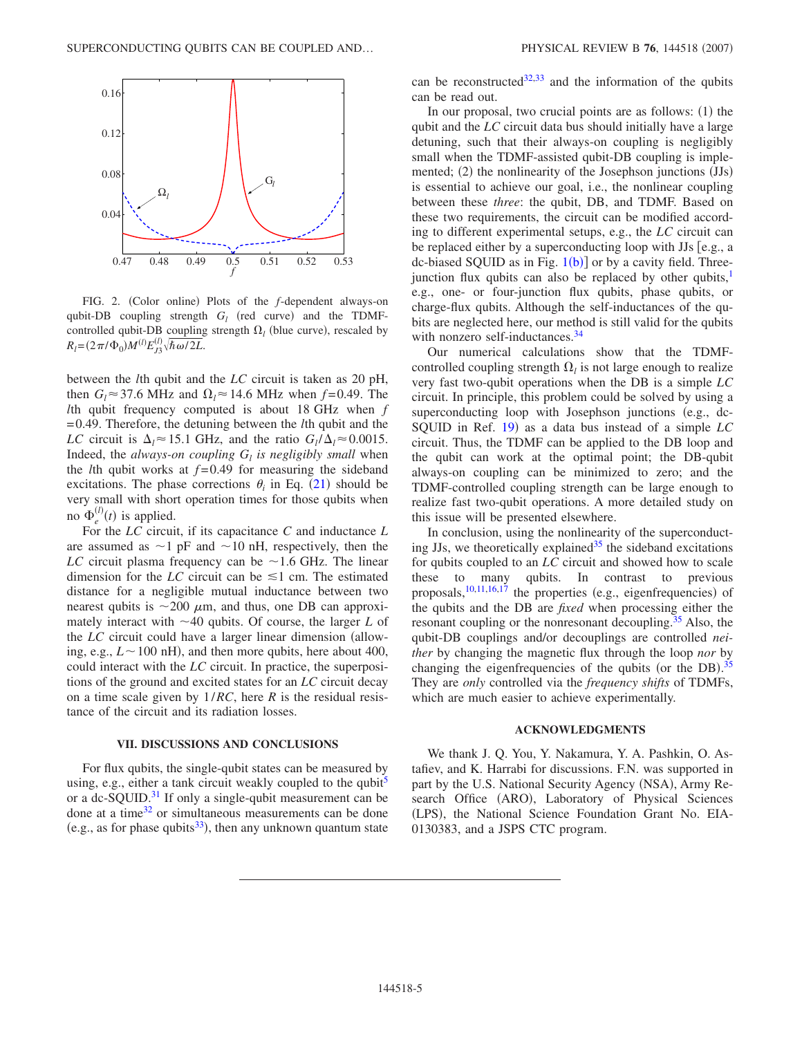<span id="page-4-0"></span>

FIG. 2. (Color online) Plots of the *f*-dependent always-on qubit-DB coupling strength  $G_l$  (red curve) and the TDMFcontrolled qubit-DB coupling strength  $\Omega_l$  (blue curve), rescaled by  $R_l = (2\pi/\Phi_0)M^{(l)}E_{J3}^{(l)}\sqrt{\hbar\omega/2L}$ .

between the *l*th qubit and the *LC* circuit is taken as 20 pH, then  $G_l \approx 37.6$  MHz and  $\Omega_l \approx 14.6$  MHz when  $f = 0.49$ . The *l*th qubit frequency computed is about 18 GHz when *f* =0.49. Therefore, the detuning between the *l*th qubit and the *LC* circuit is  $\Delta_l \approx 15.1$  GHz, and the ratio  $G_l / \Delta_l \approx 0.0015$ . Indeed, the *always-on coupling*  $G_l$  *is negligibly small* when the *l*th qubit works at  $f=0.49$  for measuring the sideband excitations. The phase corrections  $\theta_i$  in Eq. ([21](#page-3-0)) should be very small with short operation times for those qubits when no  $\Phi_e^0$  $\binom{l}{e}(t)$  is applied.

For the *LC* circuit, if its capacitance *C* and inductance *L* are assumed as  $\sim$ 1 pF and  $\sim$ 10 nH, respectively, then the *LC* circuit plasma frequency can be  $\sim$  1.6 GHz. The linear dimension for the *LC* circuit can be  $\leq 1$  cm. The estimated distance for a negligible mutual inductance between two nearest qubits is  $\sim$ 200  $\mu$ m, and thus, one DB can approximately interact with  $\sim$ 40 qubits. Of course, the larger *L* of the *LC* circuit could have a larger linear dimension (allowing, e.g.,  $L \sim 100$  nH), and then more qubits, here about 400, could interact with the *LC* circuit. In practice, the superpositions of the ground and excited states for an *LC* circuit decay on a time scale given by 1/*RC*, here *R* is the residual resistance of the circuit and its radiation losses.

### **VII. DISCUSSIONS AND CONCLUSIONS**

For flux qubits, the single-qubit states can be measured by using, e.g., either a tank circuit weakly coupled to the qubit<sup>5</sup> or a dc-SQUID. $31$  If only a single-qubit measurement can be done at a time $32$  or simultaneous measurements can be done (e.g., as for phase qubits<sup>33</sup>), then any unknown quantum state

can be reconstructed $32,33$  $32,33$  and the information of the qubits can be read out.

In our proposal, two crucial points are as follows:  $(1)$  the qubit and the *LC* circuit data bus should initially have a large detuning, such that their always-on coupling is negligibly small when the TDMF-assisted qubit-DB coupling is implemented; (2) the nonlinearity of the Josephson junctions (JJs) is essential to achieve our goal, i.e., the nonlinear coupling between these *three*: the qubit, DB, and TDMF. Based on these two requirements, the circuit can be modified according to different experimental setups, e.g., the *LC* circuit can be replaced either by a superconducting loop with  $JJs$  [e.g., a dc-biased SQUID as in Fig.  $1(b)$  $1(b)$  or by a cavity field. Threejunction flux qubits can also be replaced by other qubits, $<sup>1</sup>$ </sup> e.g., one- or four-junction flux qubits, phase qubits, or charge-flux qubits. Although the self-inductances of the qubits are neglected here, our method is still valid for the qubits with nonzero self-inductances.<sup>34</sup>

Our numerical calculations show that the TDMFcontrolled coupling strength  $\Omega_l$  is not large enough to realize very fast two-qubit operations when the DB is a simple *LC* circuit. In principle, this problem could be solved by using a superconducting loop with Josephson junctions (e.g., dc-SQUID in Ref. [19](#page-5-13)) as a data bus instead of a simple *LC* circuit. Thus, the TDMF can be applied to the DB loop and the qubit can work at the optimal point; the DB-qubit always-on coupling can be minimized to zero; and the TDMF-controlled coupling strength can be large enough to realize fast two-qubit operations. A more detailed study on this issue will be presented elsewhere.

In conclusion, using the nonlinearity of the superconducting JJs, we theoretically explained  $35$  the sideband excitations for qubits coupled to an *LC* circuit and showed how to scale these to many qubits. In contrast to previous proposals,  $\frac{10,11,16,17}{10}$  $\frac{10,11,16,17}{10}$  $\frac{10,11,16,17}{10}$  $\frac{10,11,16,17}{10}$  $\frac{10,11,16,17}{10}$  the properties (e.g., eigenfrequencies) of the qubits and the DB are *fixed* when processing either the resonant coupling or the nonresonant decoupling.<sup>35</sup> Also, the qubit-DB couplings and/or decouplings are controlled *neither* by changing the magnetic flux through the loop *nor* by changing the eigenfrequencies of the qubits (or the DB).<sup>[35](#page-5-29)</sup> They are *only* controlled via the *frequency shifts* of TDMFs, which are much easier to achieve experimentally.

#### **ACKNOWLEDGMENTS**

We thank J. Q. You, Y. Nakamura, Y. A. Pashkin, O. Astafiev, and K. Harrabi for discussions. F.N. was supported in part by the U.S. National Security Agency (NSA), Army Research Office (ARO), Laboratory of Physical Sciences (LPS), the National Science Foundation Grant No. EIA-0130383, and a JSPS CTC program.